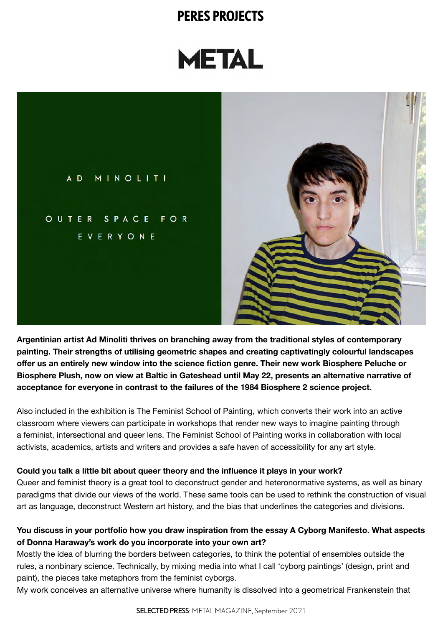# **METAL**

AD MINOLITI OUTER SPACE FOR EVERYONE

**Argentinian artist Ad Minoliti thrives on branching away from the traditional styles of contemporary painting. Their strengths of utilising geometric shapes and creating captivatingly colourful landscapes offer us an entirely new window into the science fiction genre. Their new work Biosphere Peluche or Biosphere Plush, now on view at Baltic in Gateshead until May 22, presents an alternative narrative of acceptance for everyone in contrast to the failures of the 1984 Biosphere 2 science project.**

Also included in the exhibition is The Feminist School of Painting, which converts their work into an active classroom where viewers can participate in workshops that render new ways to imagine painting through a feminist, intersectional and queer lens. The Feminist School of Painting works in collaboration with local activists, academics, artists and writers and provides a safe haven of accessibility for any art style.

#### **Could you talk a little bit about queer theory and the influence it plays in your work?**

Queer and feminist theory is a great tool to deconstruct gender and heteronormative systems, as well as binary paradigms that divide our views of the world. These same tools can be used to rethink the construction of visual art as language, deconstruct Western art history, and the bias that underlines the categories and divisions.

#### **You discuss in your portfolio how you draw inspiration from the essay A Cyborg Manifesto. What aspects of Donna Haraway's work do you incorporate into your own art?**

Mostly the idea of blurring the borders between categories, to think the potential of ensembles outside the rules, a nonbinary science. Technically, by mixing media into what I call 'cyborg paintings' (design, print and paint), the pieces take metaphors from the feminist cyborgs.

My work conceives an alternative universe where humanity is dissolved into a geometrical Frankenstein that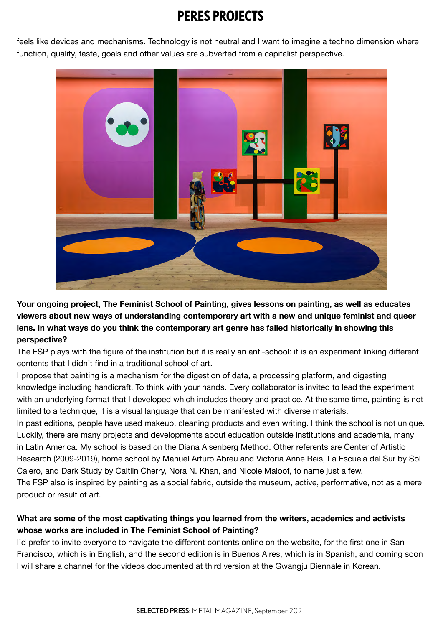feels like devices and mechanisms. Technology is not neutral and I want to imagine a techno dimension where function, quality, taste, goals and other values are subverted from a capitalist perspective.



**Your ongoing project, The Feminist School of Painting, gives lessons on painting, as well as educates viewers about new ways of understanding contemporary art with a new and unique feminist and queer lens. In what ways do you think the contemporary art genre has failed historically in showing this perspective?**

The FSP plays with the figure of the institution but it is really an anti-school: it is an experiment linking different contents that I didn't find in a traditional school of art.

I propose that painting is a mechanism for the digestion of data, a processing platform, and digesting knowledge including handicraft. To think with your hands. Every collaborator is invited to lead the experiment with an underlying format that I developed which includes theory and practice. At the same time, painting is not limited to a technique, it is a visual language that can be manifested with diverse materials.

In past editions, people have used makeup, cleaning products and even writing. I think the school is not unique. Luckily, there are many projects and developments about education outside institutions and academia, many in Latin America. My school is based on the Diana Aisenberg Method. Other referents are Center of Artistic Research (2009-2019), home school by Manuel Arturo Abreu and Victoria Anne Reis, La Escuela del Sur by Sol Calero, and Dark Study by Caitlin Cherry, Nora N. Khan, and Nicole Maloof, to name just a few.

The FSP also is inspired by painting as a social fabric, outside the museum, active, performative, not as a mere product or result of art.

#### **What are some of the most captivating things you learned from the writers, academics and activists whose works are included in The Feminist School of Painting?**

I'd prefer to invite everyone to navigate the different contents online on the website, for the first one in San Francisco, which is in English, and the second edition is in Buenos Aires, which is in Spanish, and coming soon I will share a channel for the videos documented at third version at the Gwangju Biennale in Korean.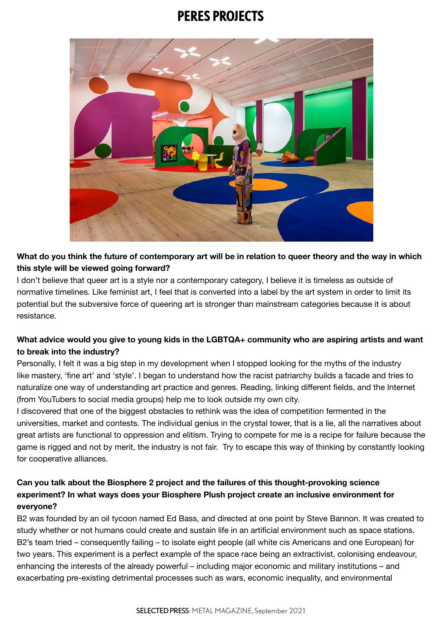

#### **What do you think the future of contemporary art will be in relation to queer theory and the way in which this style will be viewed going forward?**

I don't believe that queer art is a style nor a contemporary category, I believe it is timeless as outside of normative timelines. Like feminist art, I feel that is converted into a label by the art system in order to limit its potential but the subversive force of queering art is stronger than mainstream categories because it is about resistance.

#### **What advice would you give to young kids in the LGBTQA+ community who are aspiring artists and want to break into the industry?**

Personally, I felt it was a big step in my development when I stopped looking for the myths of the industry like mastery, 'fine art' and 'style'. I began to understand how the racist patriarchy builds a facade and tries to naturalize one way of understanding art practice and genres. Reading, linking different fields, and the Internet (from YouTubers to social media groups) help me to look outside my own city.

I discovered that one of the biggest obstacles to rethink was the idea of competition fermented in the universities, market and contests. The individual genius in the crystal tower, that is a lie, all the narratives about great artists are functional to oppression and elitism. Trying to compete for me is a recipe for failure because the game is rigged and not by merit, the industry is not fair. Try to escape this way of thinking by constantly looking for cooperative alliances.

#### **Can you talk about the Biosphere 2 project and the failures of this thought-provoking science experiment? In what ways does your Biosphere Plush project create an inclusive environment for everyone?**

B2 was founded by an oil tycoon named Ed Bass, and directed at one point by Steve Bannon. It was created to study whether or not humans could create and sustain life in an artificial environment such as space stations. B2's team tried – consequently failing – to isolate eight people (all white cis Americans and one European) for two years. This experiment is a perfect example of the space race being an extractivist, colonising endeavour, enhancing the interests of the already powerful – including major economic and military institutions – and exacerbating pre-existing detrimental processes such as wars, economic inequality, and environmental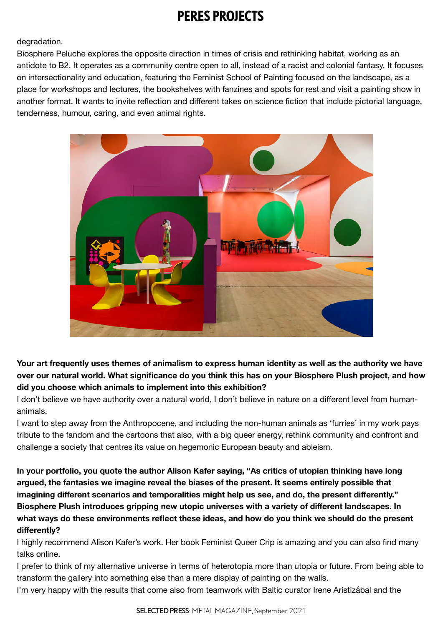#### degradation.

Biosphere Peluche explores the opposite direction in times of crisis and rethinking habitat, working as an antidote to B2. It operates as a community centre open to all, instead of a racist and colonial fantasy. It focuses on intersectionality and education, featuring the Feminist School of Painting focused on the landscape, as a place for workshops and lectures, the bookshelves with fanzines and spots for rest and visit a painting show in another format. It wants to invite reflection and different takes on science fiction that include pictorial language, tenderness, humour, caring, and even animal rights.



**Your art frequently uses themes of animalism to express human identity as well as the authority we have over our natural world. What significance do you think this has on your Biosphere Plush project, and how did you choose which animals to implement into this exhibition?**

I don't believe we have authority over a natural world, I don't believe in nature on a different level from humananimals.

I want to step away from the Anthropocene, and including the non-human animals as 'furries' in my work pays tribute to the fandom and the cartoons that also, with a big queer energy, rethink community and confront and challenge a society that centres its value on hegemonic European beauty and ableism.

**In your portfolio, you quote the author Alison Kafer saying, "As critics of utopian thinking have long argued, the fantasies we imagine reveal the biases of the present. It seems entirely possible that imagining different scenarios and temporalities might help us see, and do, the present differently." Biosphere Plush introduces gripping new utopic universes with a variety of different landscapes. In what ways do these environments reflect these ideas, and how do you think we should do the present differently?**

I highly recommend Alison Kafer's work. Her book Feminist Queer Crip is amazing and you can also find many talks online.

I prefer to think of my alternative universe in terms of heterotopia more than utopia or future. From being able to transform the gallery into something else than a mere display of painting on the walls.

I'm very happy with the results that come also from teamwork with Baltic curator Irene Aristizábal and the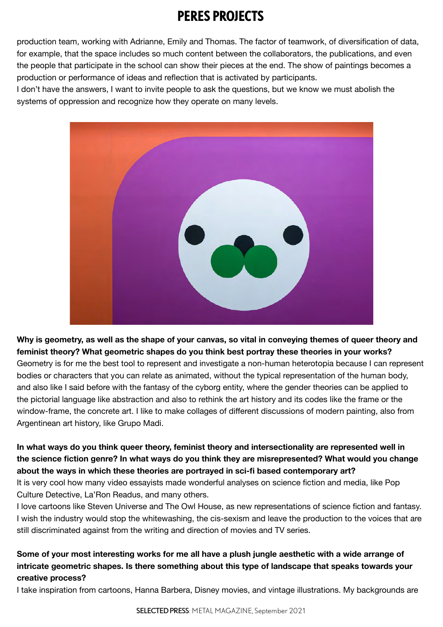production team, working with Adrianne, Emily and Thomas. The factor of teamwork, of diversification of data, for example, that the space includes so much content between the collaborators, the publications, and even the people that participate in the school can show their pieces at the end. The show of paintings becomes a production or performance of ideas and reflection that is activated by participants.

I don't have the answers, I want to invite people to ask the questions, but we know we must abolish the systems of oppression and recognize how they operate on many levels.



**Why is geometry, as well as the shape of your canvas, so vital in conveying themes of queer theory and feminist theory? What geometric shapes do you think best portray these theories in your works?** Geometry is for me the best tool to represent and investigate a non-human heterotopia because I can represent bodies or characters that you can relate as animated, without the typical representation of the human body, and also like I said before with the fantasy of the cyborg entity, where the gender theories can be applied to the pictorial language like abstraction and also to rethink the art history and its codes like the frame or the window-frame, the concrete art. I like to make collages of different discussions of modern painting, also from Argentinean art history, like Grupo Madi.

**In what ways do you think queer theory, feminist theory and intersectionality are represented well in the science fiction genre? In what ways do you think they are misrepresented? What would you change about the ways in which these theories are portrayed in sci-fi based contemporary art?**

It is very cool how many video essayists made wonderful analyses on science fiction and media, like Pop Culture Detective, La'Ron Readus, and many others.

I love cartoons like Steven Universe and The Owl House, as new representations of science fiction and fantasy. I wish the industry would stop the whitewashing, the cis-sexism and leave the production to the voices that are still discriminated against from the writing and direction of movies and TV series.

#### **Some of your most interesting works for me all have a plush jungle aesthetic with a wide arrange of intricate geometric shapes. Is there something about this type of landscape that speaks towards your creative process?**

I take inspiration from cartoons, Hanna Barbera, Disney movies, and vintage illustrations. My backgrounds are